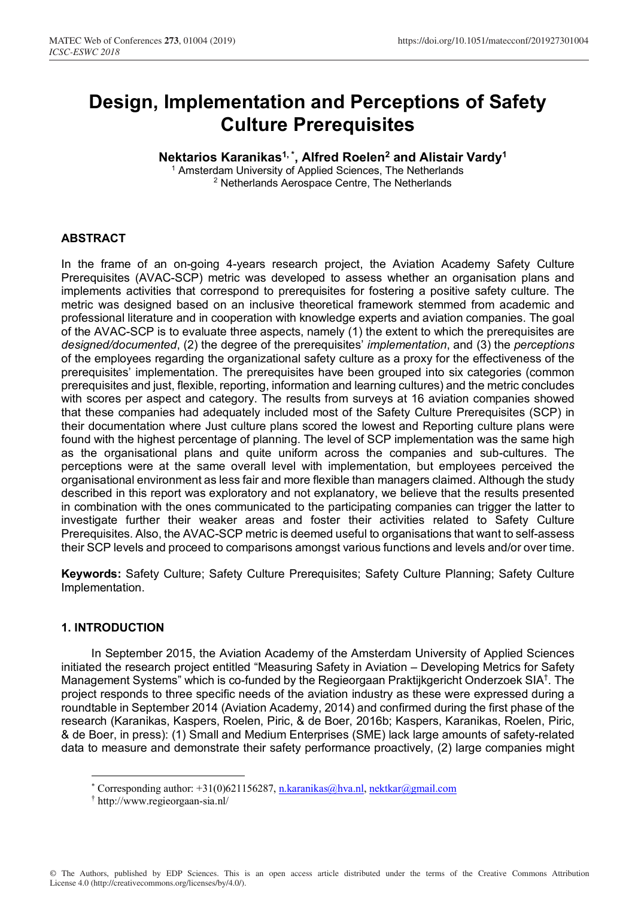# **Design, Implementation and Perceptions of Safety Culture Prerequisites**

# **Nektarios Karanikas1, \* , Alfred Roelen2 and Alistair Vardy1**

<sup>1</sup> Amsterdam University of Applied Sciences, The Netherlands 2 Netherlands Aerospace Centre, The Netherlands

#### **ABSTRACT**

In the frame of an on-going 4-years research project, the Aviation Academy Safety Culture Prerequisites (AVAC-SCP) metric was developed to assess whether an organisation plans and implements activities that correspond to prerequisites for fostering a positive safety culture. The metric was designed based on an inclusive theoretical framework stemmed from academic and professional literature and in cooperation with knowledge experts and aviation companies. The goal of the AVAC-SCP is to evaluate three aspects, namely (1) the extent to which the prerequisites are *designed/documented*, (2) the degree of the prerequisites' *implementation*, and (3) the *perceptions* of the employees regarding the organizational safety culture as a proxy for the effectiveness of the prerequisites' implementation. The prerequisites have been grouped into six categories (common prerequisites and just, flexible, reporting, information and learning cultures) and the metric concludes with scores per aspect and category. The results from surveys at 16 aviation companies showed that these companies had adequately included most of the Safety Culture Prerequisites (SCP) in their documentation where Just culture plans scored the lowest and Reporting culture plans were found with the highest percentage of planning. The level of SCP implementation was the same high as the organisational plans and quite uniform across the companies and sub-cultures. The perceptions were at the same overall level with implementation, but employees perceived the organisational environment as less fair and more flexible than managers claimed. Although the study described in this report was exploratory and not explanatory, we believe that the results presented in combination with the ones communicated to the participating companies can trigger the latter to investigate further their weaker areas and foster their activities related to Safety Culture Prerequisites. Also, the AVAC-SCP metric is deemed useful to organisations that want to self-assess their SCP levels and proceed to comparisons amongst various functions and levels and/or over time.

**Keywords:** Safety Culture; Safety Culture Prerequisites; Safety Culture Planning; Safety Culture Implementation.

#### **1. INTRODUCTION**

 $\overline{a}$ 

In September 2015, the Aviation Academy of the Amsterdam University of Applied Sciences initiated the research project entitled "Measuring Safety in Aviation – Developing Metrics for Safety Management Systems" which is co-funded by the Regieorgaan Praktijkgericht Onderzoek SIA† . The project responds to three specific needs of the aviation industry as these were expressed during a roundtable in September 2014 (Aviation Academy, 2014) and confirmed during the first phase of the research (Karanikas, Kaspers, Roelen, Piric, & de Boer, 2016b; Kaspers, Karanikas, Roelen, Piric, & de Boer, in press): (1) Small and Medium Enterprises (SME) lack large amounts of safety-related data to measure and demonstrate their safety performance proactively, (2) large companies might

<sup>\*</sup> Corresponding author: +31(0)621156287, <u>n.karanikas@hva.nl, nektkar@gmail.com</u><br>† http://www.regieorgaan.sia.nl/

http://www.regieorgaan-sia.nl/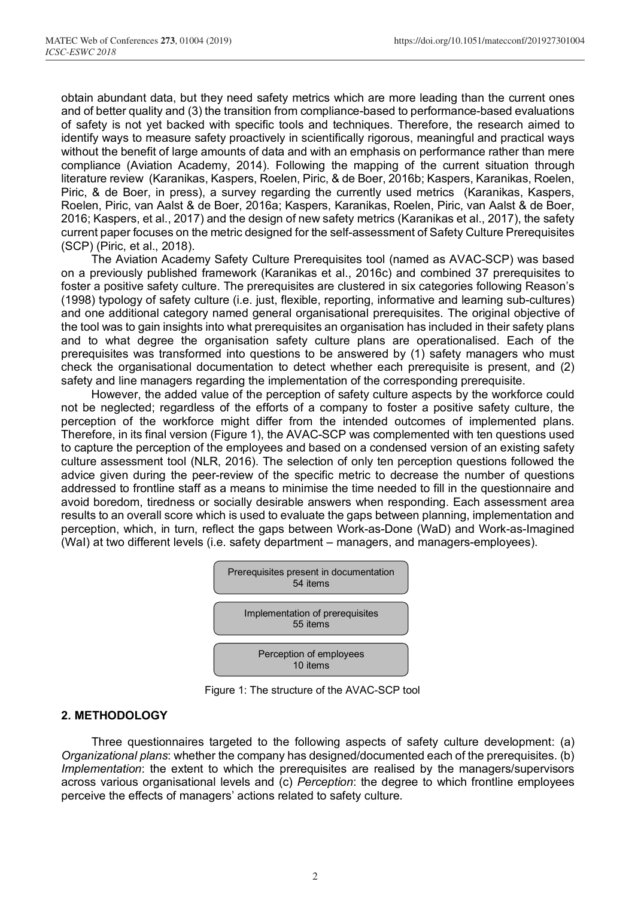obtain abundant data, but they need safety metrics which are more leading than the current ones and of better quality and (3) the transition from compliance-based to performance-based evaluations of safety is not yet backed with specific tools and techniques. Therefore, the research aimed to identify ways to measure safety proactively in scientifically rigorous, meaningful and practical ways without the benefit of large amounts of data and with an emphasis on performance rather than mere compliance (Aviation Academy, 2014). Following the mapping of the current situation through literature review (Karanikas, Kaspers, Roelen, Piric, & de Boer, 2016b; Kaspers, Karanikas, Roelen, Piric, & de Boer, in press), a survey regarding the currently used metrics (Karanikas, Kaspers, Roelen, Piric, van Aalst & de Boer, 2016a; Kaspers, Karanikas, Roelen, Piric, van Aalst & de Boer, 2016; Kaspers, et al., 2017) and the design of new safety metrics (Karanikas et al., 2017), the safety current paper focuses on the metric designed for the self-assessment of Safety Culture Prerequisites (SCP) (Piric, et al., 2018).

The Aviation Academy Safety Culture Prerequisites tool (named as AVAC-SCP) was based on a previously published framework (Karanikas et al., 2016c) and combined 37 prerequisites to foster a positive safety culture. The prerequisites are clustered in six categories following Reason's (1998) typology of safety culture (i.e. just, flexible, reporting, informative and learning sub-cultures) and one additional category named general organisational prerequisites. The original objective of the tool was to gain insights into what prerequisites an organisation has included in their safety plans and to what degree the organisation safety culture plans are operationalised. Each of the prerequisites was transformed into questions to be answered by (1) safety managers who must check the organisational documentation to detect whether each prerequisite is present, and (2) safety and line managers regarding the implementation of the corresponding prerequisite.

However, the added value of the perception of safety culture aspects by the workforce could not be neglected; regardless of the efforts of a company to foster a positive safety culture, the perception of the workforce might differ from the intended outcomes of implemented plans. Therefore, in its final version (Figure 1), the AVAC-SCP was complemented with ten questions used to capture the perception of the employees and based on a condensed version of an existing safety culture assessment tool (NLR, 2016). The selection of only ten perception questions followed the advice given during the peer-review of the specific metric to decrease the number of questions addressed to frontline staff as a means to minimise the time needed to fill in the questionnaire and avoid boredom, tiredness or socially desirable answers when responding. Each assessment area results to an overall score which is used to evaluate the gaps between planning, implementation and perception, which, in turn, reflect the gaps between Work-as-Done (WaD) and Work-as-Imagined (WaI) at two different levels (i.e. safety department – managers, and managers-employees).



Figure 1: The structure of the AVAC-SCP tool

### **2. METHODOLOGY**

Three questionnaires targeted to the following aspects of safety culture development: (a) *Organizational plans*: whether the company has designed/documented each of the prerequisites. (b) *Implementation*: the extent to which the prerequisites are realised by the managers/supervisors across various organisational levels and (c) *Perception*: the degree to which frontline employees perceive the effects of managers' actions related to safety culture.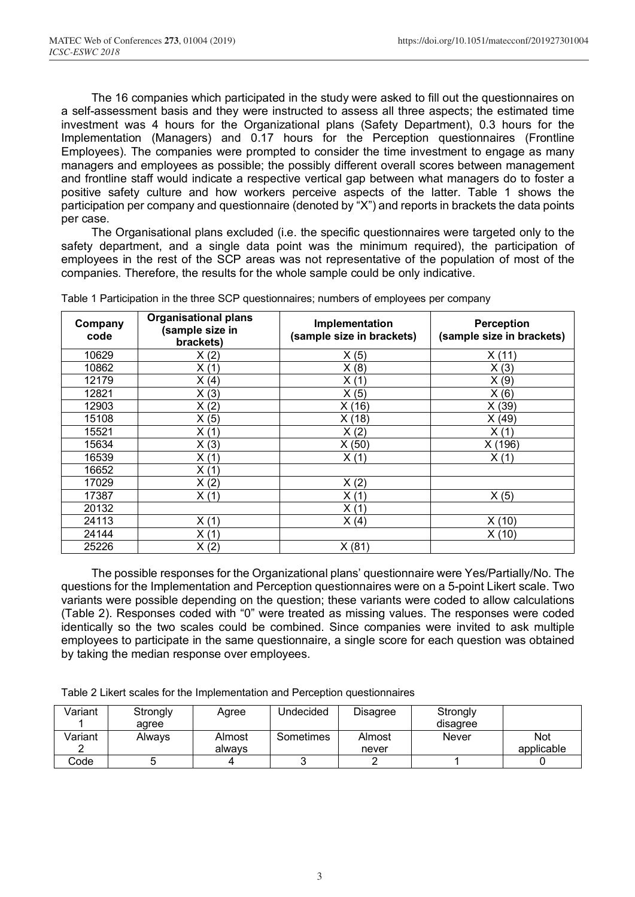The 16 companies which participated in the study were asked to fill out the questionnaires on a self-assessment basis and they were instructed to assess all three aspects; the estimated time investment was 4 hours for the Organizational plans (Safety Department), 0.3 hours for the Implementation (Managers) and 0.17 hours for the Perception questionnaires (Frontline Employees). The companies were prompted to consider the time investment to engage as many managers and employees as possible; the possibly different overall scores between management and frontline staff would indicate a respective vertical gap between what managers do to foster a positive safety culture and how workers perceive aspects of the latter. Table 1 shows the participation per company and questionnaire (denoted by "X") and reports in brackets the data points per case.

The Organisational plans excluded (i.e. the specific questionnaires were targeted only to the safety department, and a single data point was the minimum required), the participation of employees in the rest of the SCP areas was not representative of the population of most of the companies. Therefore, the results for the whole sample could be only indicative.

| Company<br>code | <b>Organisational plans</b><br>(sample size in<br>brackets) | Implementation<br>(sample size in brackets) | <b>Perception</b><br>(sample size in brackets) |
|-----------------|-------------------------------------------------------------|---------------------------------------------|------------------------------------------------|
| 10629           | X(2)                                                        | X(5)                                        | X(11)                                          |
| 10862           | X(1)                                                        | X(8)                                        | X(3)                                           |
| 12179           | X(4)                                                        | X(1)                                        | X(9)                                           |
| 12821           | X(3)                                                        | X(5)                                        | X(6)                                           |
| 12903           | X(2)                                                        | X(16)                                       | X(39)                                          |
| 15108           | X(5)                                                        | X(18)                                       | X (49)                                         |
| 15521           | X(1)                                                        | X(2)                                        | X(1)                                           |
| 15634           | X(3)                                                        | X(50)                                       | X (196)                                        |
| 16539           | X(1)                                                        | X(1)                                        | X(1)                                           |
| 16652           | X(1)                                                        |                                             |                                                |
| 17029           | X(2)                                                        | X(2)                                        |                                                |
| 17387           | X(1)                                                        | X(1)                                        | X(5)                                           |
| 20132           |                                                             | X(1)                                        |                                                |
| 24113           | X(1)                                                        | X(4)                                        | X(10)                                          |
| 24144           | X(1)                                                        |                                             | X (10)                                         |
| 25226           | X(2)                                                        | X(81)                                       |                                                |

Table 1 Participation in the three SCP questionnaires; numbers of employees per company

The possible responses for the Organizational plans' questionnaire were Yes/Partially/No. The questions for the Implementation and Perception questionnaires were on a 5-point Likert scale. Two variants were possible depending on the question; these variants were coded to allow calculations (Table 2). Responses coded with "0" were treated as missing values. The responses were coded identically so the two scales could be combined. Since companies were invited to ask multiple employees to participate in the same questionnaire, a single score for each question was obtained by taking the median response over employees.

Table 2 Likert scales for the Implementation and Perception questionnaires

| Variant | Strongly<br>aaree | Agree            | Undecided | <b>Disagree</b> | Strongly<br>disagree |                          |
|---------|-------------------|------------------|-----------|-----------------|----------------------|--------------------------|
| Variant | Always            | Almost<br>always | Sometimes | Almost<br>never | <b>Never</b>         | <b>Not</b><br>applicable |
| Code.   |                   |                  |           |                 |                      |                          |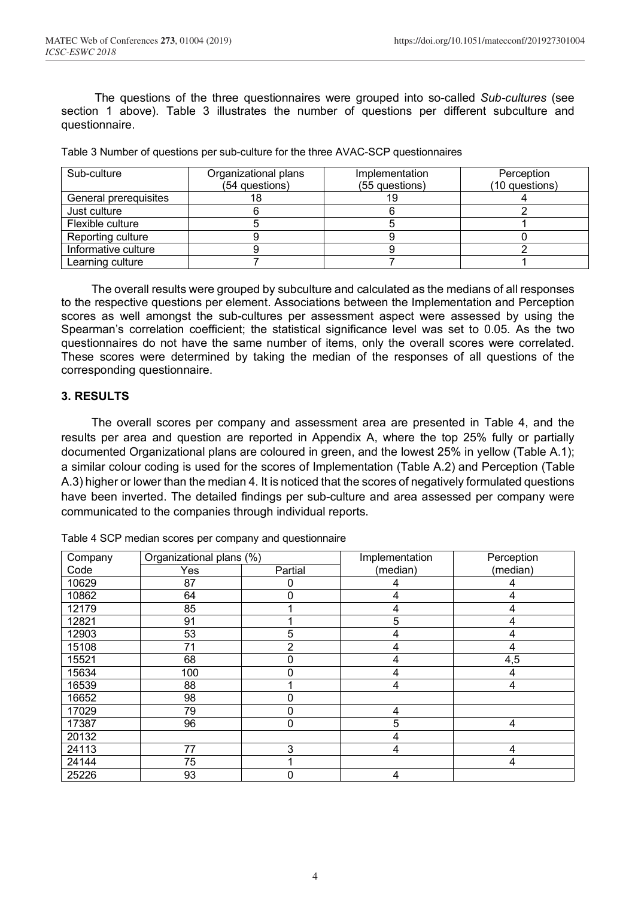The questions of the three questionnaires were grouped into so-called *Sub-cultures* (see section 1 above). Table 3 illustrates the number of questions per different subculture and questionnaire.

Table 3 Number of questions per sub-culture for the three AVAC-SCP questionnaires

| Sub-culture           | Organizational plans | Implementation | Perception     |
|-----------------------|----------------------|----------------|----------------|
|                       | (54 questions)       | (55 questions) | (10 questions) |
| General prerequisites |                      |                |                |
| Just culture          |                      |                |                |
| Flexible culture      |                      |                |                |
| Reporting culture     |                      |                |                |
| Informative culture   |                      |                |                |
| Learning culture      |                      |                |                |

The overall results were grouped by subculture and calculated as the medians of all responses to the respective questions per element. Associations between the Implementation and Perception scores as well amongst the sub-cultures per assessment aspect were assessed by using the Spearman's correlation coefficient; the statistical significance level was set to 0.05. As the two questionnaires do not have the same number of items, only the overall scores were correlated. These scores were determined by taking the median of the responses of all questions of the corresponding questionnaire.

#### **3. RESULTS**

The overall scores per company and assessment area are presented in Table 4, and the results per area and question are reported in Appendix A, where the top 25% fully or partially documented Organizational plans are coloured in green, and the lowest 25% in yellow (Table A.1); a similar colour coding is used for the scores of Implementation (Table A.2) and Perception (Table A.3) higher or lower than the median 4. It is noticed that the scores of negatively formulated questions have been inverted. The detailed findings per sub-culture and area assessed per company were communicated to the companies through individual reports.

| Company | Organizational plans (%) |         | Implementation | Perception |
|---------|--------------------------|---------|----------------|------------|
| Code    | Yes                      | Partial | (median)       | (median)   |
| 10629   | 87                       | 0       | 4              | 4          |
| 10862   | 64                       | 0       | 4              | 4          |
| 12179   | 85                       |         | 4              | 4          |
| 12821   | 91                       |         | 5              | 4          |
| 12903   | 53                       | 5       | 4              | 4          |
| 15108   | 71                       | 2       | 4              | 4          |
| 15521   | 68                       | 0       | 4              | 4,5        |
| 15634   | 100                      | 0       | 4              | 4          |
| 16539   | 88                       |         | 4              | 4          |
| 16652   | 98                       | 0       |                |            |
| 17029   | 79                       | 0       | 4              |            |
| 17387   | 96                       | 0       | 5              | 4          |
| 20132   |                          |         | 4              |            |
| 24113   | 77                       | 3       | 4              | 4          |
| 24144   | 75                       |         |                | 4          |
| 25226   | 93                       | 0       | 4              |            |

Table 4 SCP median scores per company and questionnaire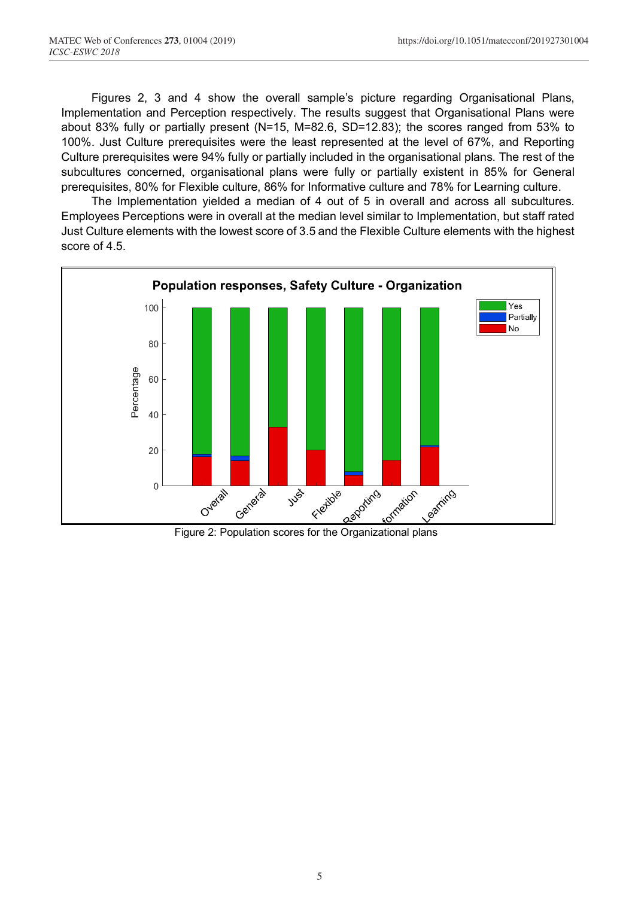Figures 2, 3 and 4 show the overall sample's picture regarding Organisational Plans, Implementation and Perception respectively. The results suggest that Organisational Plans were about 83% fully or partially present (N=15, M=82.6, SD=12.83); the scores ranged from 53% to 100%. Just Culture prerequisites were the least represented at the level of 67%, and Reporting Culture prerequisites were 94% fully or partially included in the organisational plans. The rest of the subcultures concerned, organisational plans were fully or partially existent in 85% for General prerequisites, 80% for Flexible culture, 86% for Informative culture and 78% for Learning culture.

The Implementation yielded a median of 4 out of 5 in overall and across all subcultures. Employees Perceptions were in overall at the median level similar to Implementation, but staff rated Just Culture elements with the lowest score of 3.5 and the Flexible Culture elements with the highest score of 4.5.

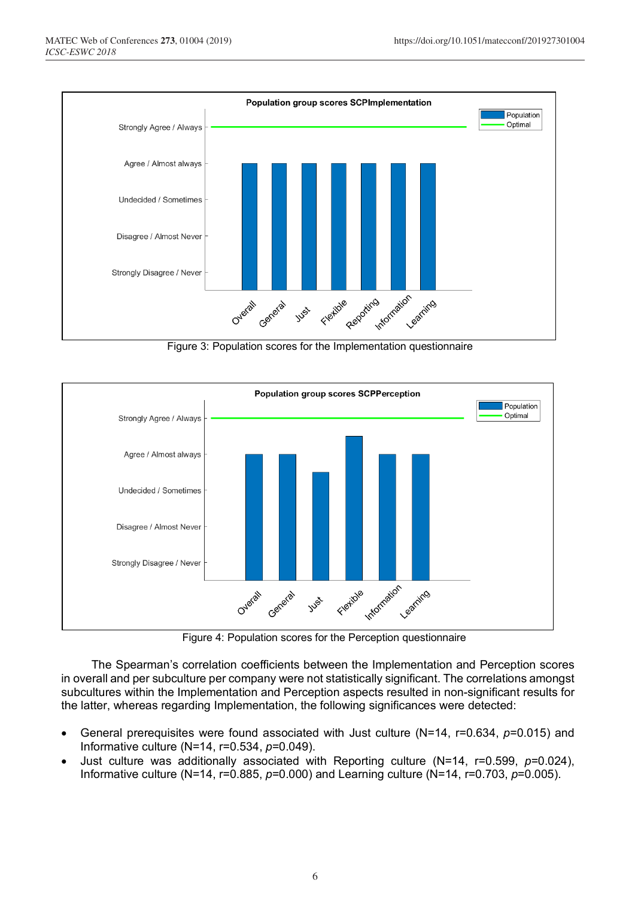

Figure 3: Population scores for the Implementation questionnaire



Figure 4: Population scores for the Perception questionnaire

The Spearman's correlation coefficients between the Implementation and Perception scores in overall and per subculture per company were not statistically significant. The correlations amongst subcultures within the Implementation and Perception aspects resulted in non-significant results for the latter, whereas regarding Implementation, the following significances were detected:

- General prerequisites were found associated with Just culture (N=14, r=0.634, *p*=0.015) and Informative culture (N=14, r=0.534, *p*=0.049).
- Just culture was additionally associated with Reporting culture (N=14, r=0.599, *p*=0.024), Informative culture (N=14, r=0.885, *p*=0.000) and Learning culture (N=14, r=0.703, *p*=0.005).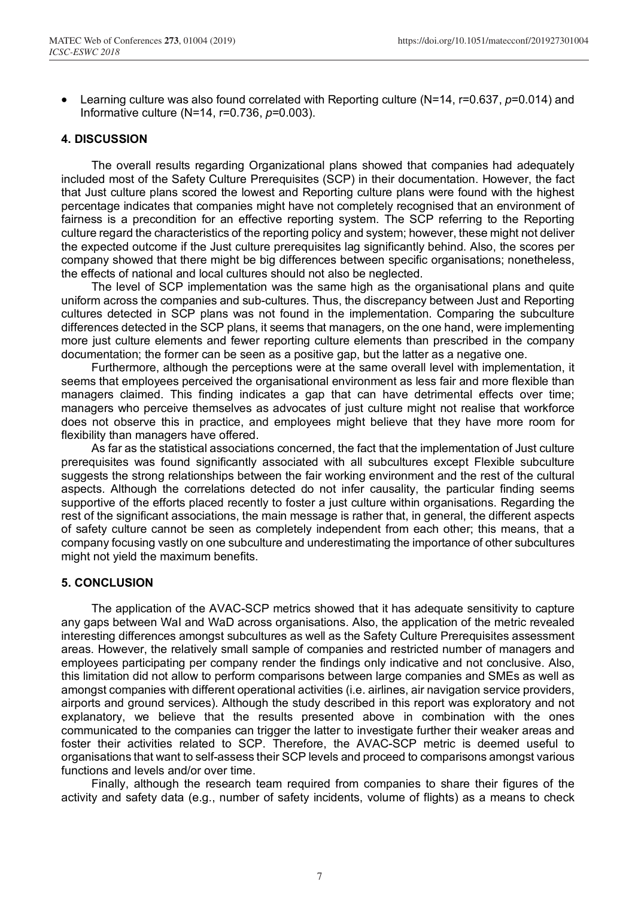• Learning culture was also found correlated with Reporting culture (N=14, r=0.637, *p*=0.014) and Informative culture (N=14, r=0.736, *p*=0.003).

#### **4. DISCUSSION**

The overall results regarding Organizational plans showed that companies had adequately included most of the Safety Culture Prerequisites (SCP) in their documentation. However, the fact that Just culture plans scored the lowest and Reporting culture plans were found with the highest percentage indicates that companies might have not completely recognised that an environment of fairness is a precondition for an effective reporting system. The SCP referring to the Reporting culture regard the characteristics of the reporting policy and system; however, these might not deliver the expected outcome if the Just culture prerequisites lag significantly behind. Also, the scores per company showed that there might be big differences between specific organisations; nonetheless, the effects of national and local cultures should not also be neglected.

The level of SCP implementation was the same high as the organisational plans and quite uniform across the companies and sub-cultures. Thus, the discrepancy between Just and Reporting cultures detected in SCP plans was not found in the implementation. Comparing the subculture differences detected in the SCP plans, it seems that managers, on the one hand, were implementing more just culture elements and fewer reporting culture elements than prescribed in the company documentation; the former can be seen as a positive gap, but the latter as a negative one.

Furthermore, although the perceptions were at the same overall level with implementation, it seems that employees perceived the organisational environment as less fair and more flexible than managers claimed. This finding indicates a gap that can have detrimental effects over time; managers who perceive themselves as advocates of just culture might not realise that workforce does not observe this in practice, and employees might believe that they have more room for flexibility than managers have offered.

As far as the statistical associations concerned, the fact that the implementation of Just culture prerequisites was found significantly associated with all subcultures except Flexible subculture suggests the strong relationships between the fair working environment and the rest of the cultural aspects. Although the correlations detected do not infer causality, the particular finding seems supportive of the efforts placed recently to foster a just culture within organisations. Regarding the rest of the significant associations, the main message is rather that, in general, the different aspects of safety culture cannot be seen as completely independent from each other; this means, that a company focusing vastly on one subculture and underestimating the importance of other subcultures might not yield the maximum benefits.

#### **5. CONCLUSION**

The application of the AVAC-SCP metrics showed that it has adequate sensitivity to capture any gaps between WaI and WaD across organisations. Also, the application of the metric revealed interesting differences amongst subcultures as well as the Safety Culture Prerequisites assessment areas. However, the relatively small sample of companies and restricted number of managers and employees participating per company render the findings only indicative and not conclusive. Also, this limitation did not allow to perform comparisons between large companies and SMEs as well as amongst companies with different operational activities (i.e. airlines, air navigation service providers, airports and ground services). Although the study described in this report was exploratory and not explanatory, we believe that the results presented above in combination with the ones communicated to the companies can trigger the latter to investigate further their weaker areas and foster their activities related to SCP. Therefore, the AVAC-SCP metric is deemed useful to organisations that want to self-assess their SCP levels and proceed to comparisons amongst various functions and levels and/or over time.

Finally, although the research team required from companies to share their figures of the activity and safety data (e.g., number of safety incidents, volume of flights) as a means to check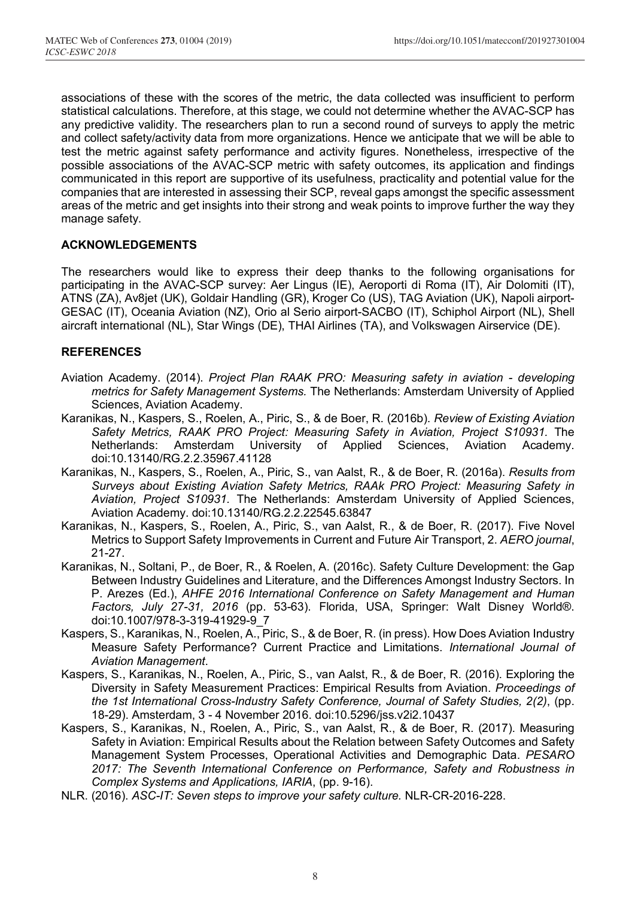associations of these with the scores of the metric, the data collected was insufficient to perform statistical calculations. Therefore, at this stage, we could not determine whether the AVAC-SCP has any predictive validity. The researchers plan to run a second round of surveys to apply the metric and collect safety/activity data from more organizations. Hence we anticipate that we will be able to test the metric against safety performance and activity figures. Nonetheless, irrespective of the possible associations of the AVAC-SCP metric with safety outcomes, its application and findings communicated in this report are supportive of its usefulness, practicality and potential value for the companies that are interested in assessing their SCP, reveal gaps amongst the specific assessment areas of the metric and get insights into their strong and weak points to improve further the way they manage safety.

#### **ACKNOWLEDGEMENTS**

The researchers would like to express their deep thanks to the following organisations for participating in the AVAC-SCP survey: Aer Lingus (IE), Aeroporti di Roma (IT), Air Dolomiti (IT), ATNS (ZA), Av8jet (UK), Goldair Handling (GR), Kroger Co (US), TAG Aviation (UK), Napoli airport-GESAC (IT), Oceania Aviation (NZ), Orio al Serio airport-SACBO (IT), Schiphol Airport (NL), Shell aircraft international (NL), Star Wings (DE), THAI Airlines (TA), and Volkswagen Airservice (DE).

#### **REFERENCES**

- Aviation Academy. (2014). *Project Plan RAAK PRO: Measuring safety in aviation developing metrics for Safety Management Systems.* The Netherlands: Amsterdam University of Applied Sciences, Aviation Academy.
- Karanikas, N., Kaspers, S., Roelen, A., Piric, S., & de Boer, R. (2016b). *Review of Existing Aviation Safety Metrics, RAAK PRO Project: Measuring Safety in Aviation, Project S10931.* The Netherlands: Amsterdam University of Applied Sciences, Aviation Academy. doi:10.13140/RG.2.2.35967.41128
- Karanikas, N., Kaspers, S., Roelen, A., Piric, S., van Aalst, R., & de Boer, R. (2016a). *Results from Surveys about Existing Aviation Safety Metrics, RAAk PRO Project: Measuring Safety in Aviation, Project S10931.* The Netherlands: Amsterdam University of Applied Sciences, Aviation Academy. doi:10.13140/RG.2.2.22545.63847
- Karanikas, N., Kaspers, S., Roelen, A., Piric, S., van Aalst, R., & de Boer, R. (2017). Five Novel Metrics to Support Safety Improvements in Current and Future Air Transport, 2. *AERO journal*, 21-27.
- Karanikas, N., Soltani, P., de Boer, R., & Roelen, A. (2016c). Safety Culture Development: the Gap Between Industry Guidelines and Literature, and the Differences Amongst Industry Sectors. In P. Arezes (Ed.), *AHFE 2016 International Conference on Safety Management and Human Factors, July 27-31, 2016* (pp. 53-63). Florida, USA, Springer: Walt Disney World®. doi:10.1007/978-3-319-41929-9\_7
- Kaspers, S., Karanikas, N., Roelen, A., Piric, S., & de Boer, R. (in press). How Does Aviation Industry Measure Safety Performance? Current Practice and Limitations. *International Journal of Aviation Management*.
- Kaspers, S., Karanikas, N., Roelen, A., Piric, S., van Aalst, R., & de Boer, R. (2016). Exploring the Diversity in Safety Measurement Practices: Empirical Results from Aviation. *Proceedings of the 1st International Cross-Industry Safety Conference, Journal of Safety Studies, 2(2)*, (pp. 18-29). Amsterdam, 3 - 4 November 2016. doi:10.5296/jss.v2i2.10437
- Kaspers, S., Karanikas, N., Roelen, A., Piric, S., van Aalst, R., & de Boer, R. (2017). Measuring Safety in Aviation: Empirical Results about the Relation between Safety Outcomes and Safety Management System Processes, Operational Activities and Demographic Data. *PESARO 2017: The Seventh International Conference on Performance, Safety and Robustness in Complex Systems and Applications, IARIA*, (pp. 9-16).
- NLR. (2016). *ASC-IT: Seven steps to improve your safety culture.* NLR-CR-2016-228.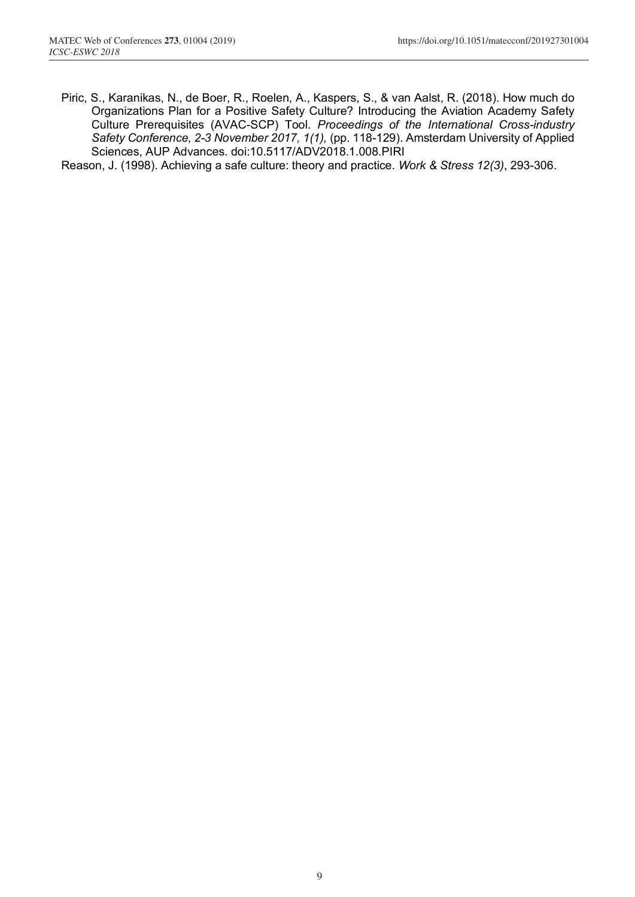- Piric, S., Karanikas, N., de Boer, R., Roelen, A., Kaspers, S., & van Aalst, R. (2018). How much do Organizations Plan for a Positive Safety Culture? Introducing the Aviation Academy Safety Culture Prerequisites (AVAC-SCP) Tool. *Proceedings of the International Cross-industry Safety Conference, 2-3 November 2017, 1(1),* (pp. 118-129). Amsterdam University of Applied Sciences, AUP Advances. doi:10.5117/ADV2018.1.008.PIRI
- Reason, J. (1998). Achieving a safe culture: theory and practice. *Work & Stress 12(3)*, 293-306.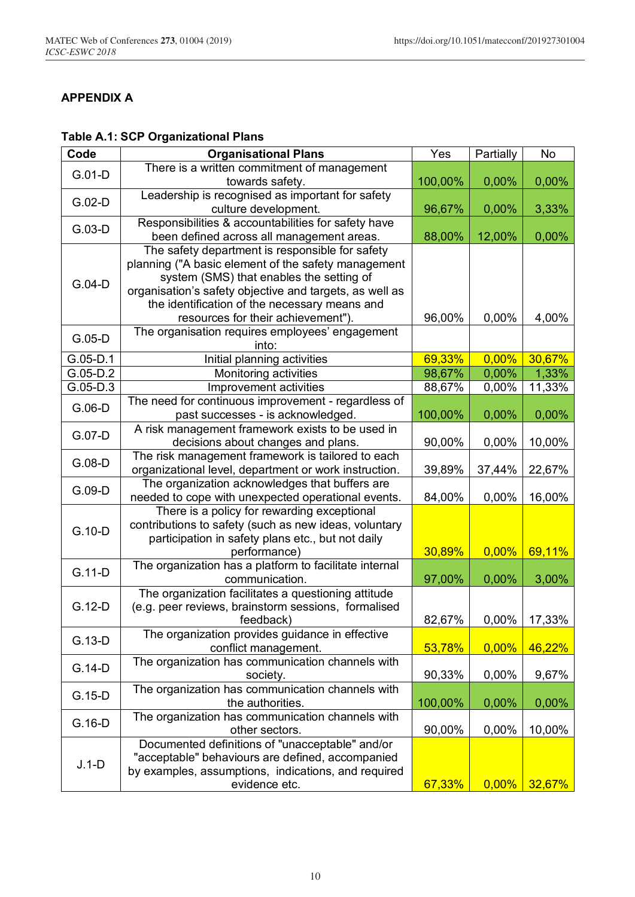## **APPENDIX A**

# **Table A.1: SCP Organizational Plans**

| Code       | <b>Organisational Plans</b>                             | Yes     | Partially | No     |
|------------|---------------------------------------------------------|---------|-----------|--------|
| $G.01-D$   | There is a written commitment of management             |         |           |        |
|            | towards safety.                                         | 100,00% | 0,00%     | 0,00%  |
| $G.02-D$   | Leadership is recognised as important for safety        |         |           |        |
|            | culture development.                                    | 96,67%  | 0,00%     | 3,33%  |
|            | Responsibilities & accountabilities for safety have     |         |           |        |
| $G.03-D$   | been defined across all management areas.               | 88,00%  | 12,00%    | 0,00%  |
|            | The safety department is responsible for safety         |         |           |        |
|            | planning ("A basic element of the safety management     |         |           |        |
|            | system (SMS) that enables the setting of                |         |           |        |
| $G.04-D$   | organisation's safety objective and targets, as well as |         |           |        |
|            | the identification of the necessary means and           |         |           |        |
|            | resources for their achievement").                      | 96,00%  | 0,00%     | 4,00%  |
|            | The organisation requires employees' engagement         |         |           |        |
| $G.05-D$   | into:                                                   |         |           |        |
| $G.05-D.1$ | Initial planning activities                             | 69,33%  | $0,00\%$  | 30,67% |
| $G.05-D.2$ | Monitoring activities                                   | 98,67%  | 0,00%     | 1,33%  |
| $G.05-D.3$ | Improvement activities                                  | 88,67%  | 0,00%     | 11,33% |
|            | The need for continuous improvement - regardless of     |         |           |        |
| $G.06-D$   | past successes - is acknowledged.                       | 100,00% | 0,00%     | 0,00%  |
|            | A risk management framework exists to be used in        |         |           |        |
| G.07-D     | decisions about changes and plans.                      | 90,00%  | 0,00%     | 10,00% |
|            | The risk management framework is tailored to each       |         |           |        |
| $G.08-D$   | organizational level, department or work instruction.   | 39,89%  | 37,44%    | 22,67% |
|            | The organization acknowledges that buffers are          |         |           |        |
| $G.09-D$   | needed to cope with unexpected operational events.      | 84,00%  | 0,00%     | 16,00% |
|            | There is a policy for rewarding exceptional             |         |           |        |
|            | contributions to safety (such as new ideas, voluntary   |         |           |        |
| $G.10-D$   | participation in safety plans etc., but not daily       |         |           |        |
|            | performance)                                            | 30,89%  | 0,00%     | 69,11% |
|            | The organization has a platform to facilitate internal  |         |           |        |
| $G.11-D$   | communication.                                          | 97,00%  | 0,00%     | 3,00%  |
|            | The organization facilitates a questioning attitude     |         |           |        |
| $G.12-D$   | (e.g. peer reviews, brainstorm sessions, formalised     |         |           |        |
|            | feedback)                                               | 82,67%  | 0,00%     | 17,33% |
|            | The organization provides guidance in effective         |         |           |        |
| $G.13-D$   | conflict management.                                    | 53,78%  | 0,00%     | 46,22% |
|            | The organization has communication channels with        |         |           |        |
| $G.14-D$   | society.                                                | 90,33%  | 0,00%     | 9,67%  |
|            | The organization has communication channels with        |         |           |        |
| $G.15-D$   | the authorities.                                        | 100,00% | 0,00%     | 0,00%  |
|            | The organization has communication channels with        |         |           |        |
| $G.16-D$   | other sectors.                                          | 90,00%  | 0,00%     | 10,00% |
|            | Documented definitions of "unacceptable" and/or         |         |           |        |
|            | "acceptable" behaviours are defined, accompanied        |         |           |        |
| $J.1-D$    | by examples, assumptions, indications, and required     |         |           |        |
|            | evidence etc.                                           | 67,33%  | 0,00%     | 32,67% |
|            |                                                         |         |           |        |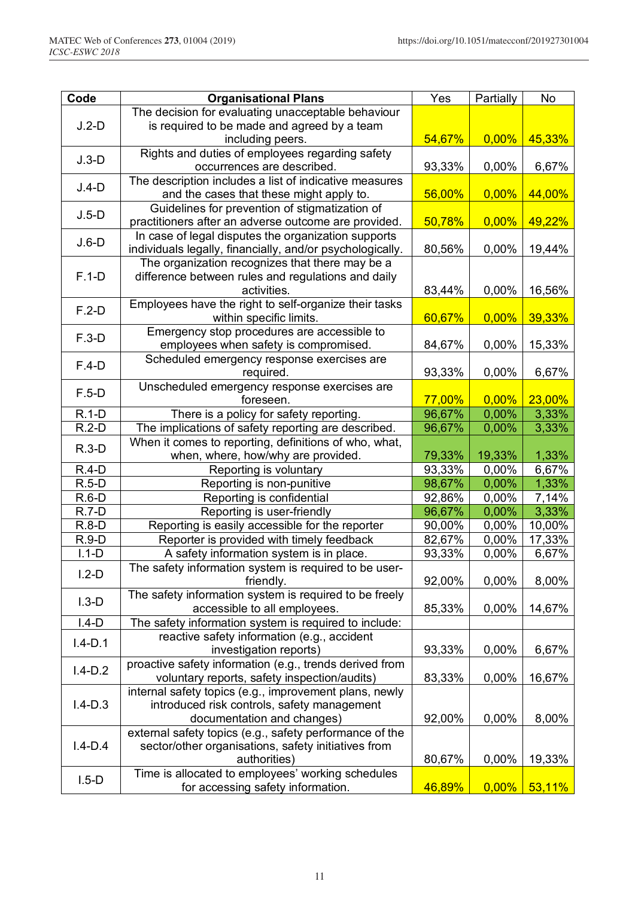| Code        | <b>Organisational Plans</b>                               | Yes    | Partially | No     |
|-------------|-----------------------------------------------------------|--------|-----------|--------|
|             | The decision for evaluating unacceptable behaviour        |        |           |        |
| $J.2-D$     | is required to be made and agreed by a team               |        |           |        |
|             | including peers.                                          | 54,67% | 0,00%     | 45,33% |
| $J.3-D$     | Rights and duties of employees regarding safety           |        |           |        |
|             | occurrences are described.                                | 93,33% | 0,00%     | 6,67%  |
| $J.4-D$     | The description includes a list of indicative measures    |        |           |        |
|             | and the cases that these might apply to.                  | 56,00% | 0,00%     | 44,00% |
| $J.5-D$     | Guidelines for prevention of stigmatization of            |        |           |        |
|             | practitioners after an adverse outcome are provided.      | 50,78% | $0,00\%$  | 49,22% |
| $J.6-D$     | In case of legal disputes the organization supports       |        |           |        |
|             | individuals legally, financially, and/or psychologically. | 80,56% | 0,00%     | 19,44% |
|             | The organization recognizes that there may be a           |        |           |        |
| $F.1-D$     | difference between rules and regulations and daily        |        |           |        |
|             | activities.                                               | 83,44% | 0,00%     | 16,56% |
| $F.2-D$     | Employees have the right to self-organize their tasks     |        |           |        |
|             | within specific limits.                                   | 60,67% | 0,00%     | 39,33% |
| $F.3-D$     | Emergency stop procedures are accessible to               |        |           |        |
|             | employees when safety is compromised.                     | 84,67% | 0,00%     | 15,33% |
| $F.4-D$     | Scheduled emergency response exercises are<br>required.   | 93,33% | 0,00%     | 6,67%  |
|             | Unscheduled emergency response exercises are              |        |           |        |
| $F.5-D$     | foreseen.                                                 | 77,00% | 0,00%     | 23,00% |
| $R.1-D$     | There is a policy for safety reporting.                   | 96,67% | 0,00%     | 3,33%  |
| $R.2-D$     | The implications of safety reporting are described.       | 96,67% | 0,00%     | 3,33%  |
|             | When it comes to reporting, definitions of who, what,     |        |           |        |
| $R.3-D$     | when, where, how/why are provided.                        | 79,33% | 19,33%    | 1,33%  |
| $R.4-D$     | Reporting is voluntary                                    | 93,33% | 0,00%     | 6,67%  |
| $R.5-D$     | Reporting is non-punitive                                 | 98,67% | 0,00%     | 1,33%  |
| $R.6-D$     | Reporting is confidential                                 | 92,86% | 0,00%     | 7,14%  |
| $R.7-D$     | Reporting is user-friendly                                | 96,67% | 0,00%     | 3,33%  |
| $R.8-D$     | Reporting is easily accessible for the reporter           | 90,00% | $0,00\%$  | 10,00% |
| $R.9-D$     | Reporter is provided with timely feedback                 | 82,67% | 0,00%     | 17,33% |
| $1.1-D$     | A safety information system is in place.                  | 93,33% | 0,00%     | 6,67%  |
|             | The safety information system is required to be user-     |        |           |        |
| $1.2-D$     | friendly.                                                 | 92,00% | 0,00%     | 8,00%  |
|             | The safety information system is required to be freely    |        |           |        |
| $1.3-D$     | accessible to all employees.                              | 85,33% | 0,00%     | 14,67% |
| $I.4-D$     | The safety information system is required to include:     |        |           |        |
| $1.4 - D.1$ | reactive safety information (e.g., accident               |        |           |        |
|             | investigation reports)                                    | 93,33% | 0,00%     | 6,67%  |
| $I.4-D.2$   | proactive safety information (e.g., trends derived from   |        |           |        |
|             | voluntary reports, safety inspection/audits)              | 83,33% | 0,00%     | 16,67% |
|             | internal safety topics (e.g., improvement plans, newly    |        |           |        |
| $I.4-D.3$   | introduced risk controls, safety management               |        |           |        |
|             | documentation and changes)                                | 92,00% | 0,00%     | 8,00%  |
|             | external safety topics (e.g., safety performance of the   |        |           |        |
| $I.4-D.4$   | sector/other organisations, safety initiatives from       |        |           |        |
|             | authorities)                                              | 80,67% | 0,00%     | 19,33% |
| $1.5-D$     | Time is allocated to employees' working schedules         |        |           |        |
|             | for accessing safety information.                         | 46,89% | $0,00\%$  | 53,11% |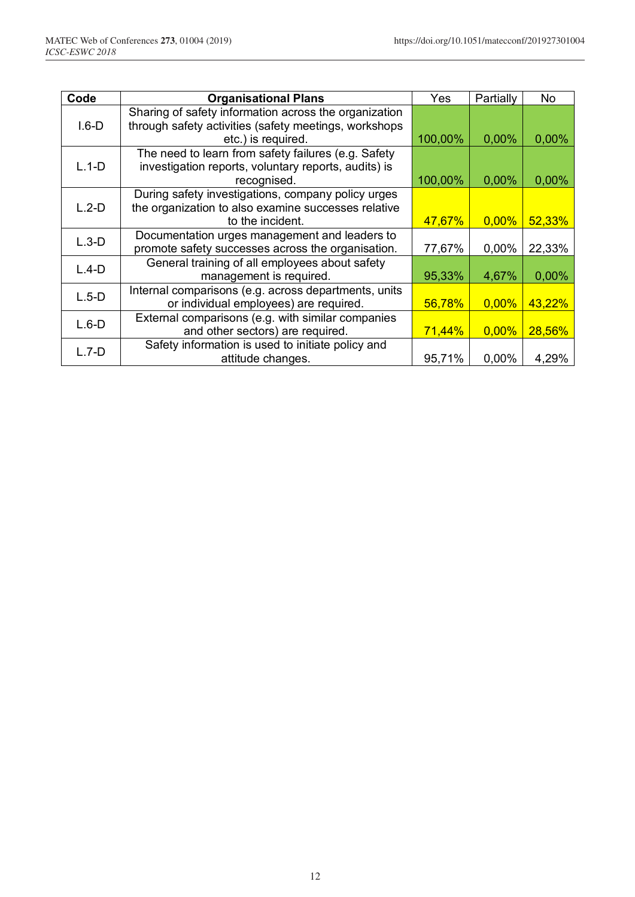| Code    | <b>Organisational Plans</b>                           | Yes       | Partially | No     |
|---------|-------------------------------------------------------|-----------|-----------|--------|
|         | Sharing of safety information across the organization |           |           |        |
| $1.6-D$ | through safety activities (safety meetings, workshops |           |           |        |
|         | etc.) is required.                                    | 100,00%   | 0.00%     | 0,00%  |
|         | The need to learn from safety failures (e.g. Safety   |           |           |        |
| $L.1-D$ | investigation reports, voluntary reports, audits) is  |           |           |        |
|         | recognised.                                           | 100,00%   | 0,00%     | 0,00%  |
|         | During safety investigations, company policy urges    |           |           |        |
| $L.2-D$ | the organization to also examine successes relative   |           |           |        |
|         | to the incident.                                      | 47,67%    | 0,00%     | 52,33% |
| $L.3-D$ | Documentation urges management and leaders to         |           |           |        |
|         | promote safety successes across the organisation.     | 77,67%    | 0,00%     | 22,33% |
| $L.4-D$ | General training of all employees about safety        |           |           |        |
|         | management is required.                               | 95,33%    | 4,67%     | 0,00%  |
| $L.5-D$ | Internal comparisons (e.g. across departments, units  |           |           |        |
|         | or individual employees) are required.                | 56,78%    | $0.00\%$  | 43,22% |
| $L.6-D$ | External comparisons (e.g. with similar companies     |           |           |        |
|         | and other sectors) are required.                      | $71,44\%$ | 0,00%     | 28,56% |
| $L.7-D$ | Safety information is used to initiate policy and     |           |           |        |
|         | attitude changes.                                     | 95,71%    | $0,00\%$  | 4,29%  |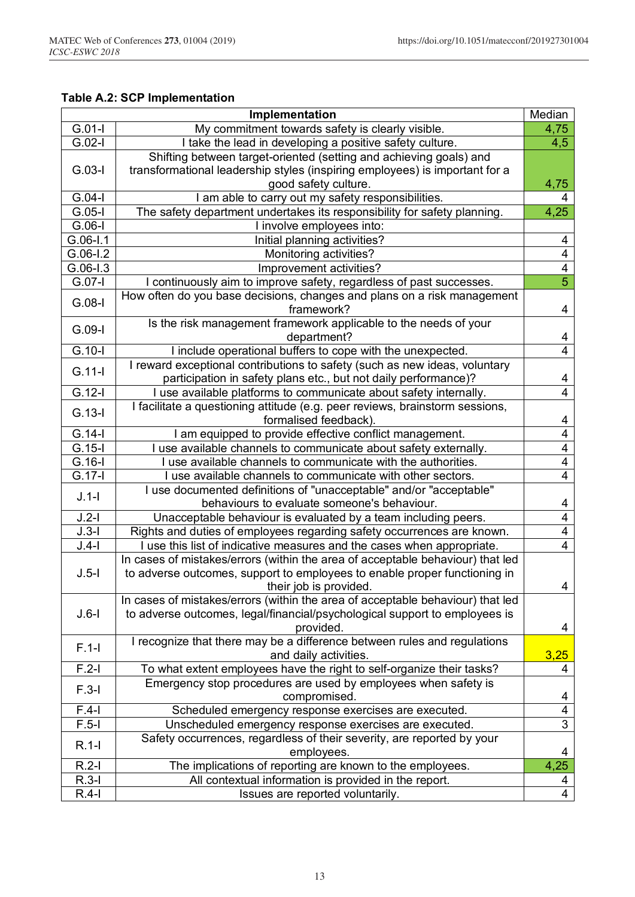## **Table A.2: SCP Implementation**

|              | Implementation                                                                 | Median                  |
|--------------|--------------------------------------------------------------------------------|-------------------------|
| $G.01-I$     | My commitment towards safety is clearly visible.                               | 4,75                    |
| $G.02-I$     | I take the lead in developing a positive safety culture.                       | 4,5                     |
|              | Shifting between target-oriented (setting and achieving goals) and             |                         |
| $G.03-I$     | transformational leadership styles (inspiring employees) is important for a    |                         |
|              | good safety culture.                                                           | 4,75                    |
| $G.04-I$     | I am able to carry out my safety responsibilities.                             | 4                       |
| $G.05-I$     | The safety department undertakes its responsibility for safety planning.       | 4,25                    |
| $G.06-I$     | I involve employees into:                                                      |                         |
| $G.06 - I.1$ | Initial planning activities?                                                   | 4                       |
| $G.06 - 1.2$ | Monitoring activities?                                                         | 4                       |
| $G.06 - 1.3$ | Improvement activities?                                                        | 4                       |
| $G.07-I$     | I continuously aim to improve safety, regardless of past successes.            | $\overline{5}$          |
|              | How often do you base decisions, changes and plans on a risk management        |                         |
| $G.08-I$     | framework?                                                                     | 4                       |
|              | Is the risk management framework applicable to the needs of your               |                         |
| $G.09-I$     | department?                                                                    | 4                       |
| $G.10-I$     | I include operational buffers to cope with the unexpected.                     | 4                       |
|              | I reward exceptional contributions to safety (such as new ideas, voluntary     |                         |
| $G.11-I$     | participation in safety plans etc., but not daily performance)?                | 4                       |
| $G.12-I$     | I use available platforms to communicate about safety internally.              | 4                       |
|              | I facilitate a questioning attitude (e.g. peer reviews, brainstorm sessions,   |                         |
| $G.13-I$     | formalised feedback).                                                          | 4                       |
| $G.14-I$     | I am equipped to provide effective conflict management.                        | 4                       |
| $G.15-I$     | I use available channels to communicate about safety externally.               | $\overline{4}$          |
| $G.16-I$     | use available channels to communicate with the authorities.                    | 4                       |
| $G.17-I$     | I use available channels to communicate with other sectors.                    | 4                       |
|              | I use documented definitions of "unacceptable" and/or "acceptable"             |                         |
| $J.1-I$      | behaviours to evaluate someone's behaviour.                                    | 4                       |
| $J.2-I$      | Unacceptable behaviour is evaluated by a team including peers.                 | $\overline{\mathbf{4}}$ |
| $J.3-I$      | Rights and duties of employees regarding safety occurrences are known.         | $\overline{\mathbf{4}}$ |
| $J.4-I$      | I use this list of indicative measures and the cases when appropriate.         | 4                       |
|              | In cases of mistakes/errors (within the area of acceptable behaviour) that led |                         |
| $J.5-I$      | to adverse outcomes, support to employees to enable proper functioning in      |                         |
|              | their job is provided.                                                         | 4                       |
|              | In cases of mistakes/errors (within the area of acceptable behaviour) that led |                         |
| $J.6-I$      | to adverse outcomes, legal/financial/psychological support to employees is     |                         |
|              | provided.                                                                      | 4                       |
| $F.1-I$      | I recognize that there may be a difference between rules and regulations       |                         |
|              | and daily activities.                                                          | 3,25                    |
| $F.2-I$      | To what extent employees have the right to self-organize their tasks?          | 4                       |
| $F.3-I$      | Emergency stop procedures are used by employees when safety is                 |                         |
|              | compromised.                                                                   | 4                       |
| $F.4-I$      | Scheduled emergency response exercises are executed.                           | 4                       |
| $F.5-I$      | Unscheduled emergency response exercises are executed.                         | $\overline{3}$          |
| $R.1-I$      | Safety occurrences, regardless of their severity, are reported by your         |                         |
|              | employees.                                                                     | 4                       |
| $R.2-I$      | The implications of reporting are known to the employees.                      | 4,25                    |
| $R.3-I$      | All contextual information is provided in the report.                          | 4                       |
| $R.4-I$      | Issues are reported voluntarily.                                               | $\overline{4}$          |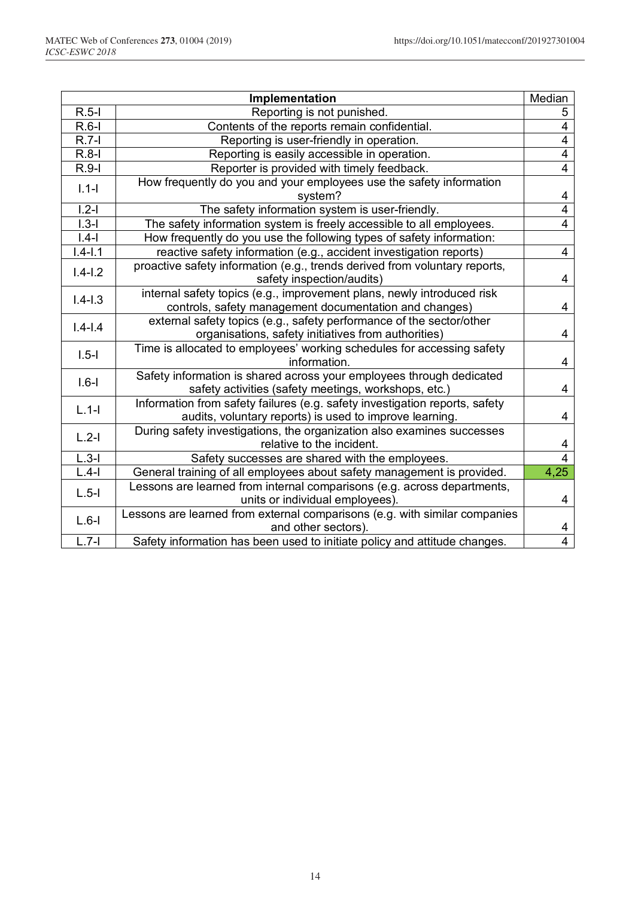|                    | Implementation                                                              | Median         |
|--------------------|-----------------------------------------------------------------------------|----------------|
| $R.5-I$            | Reporting is not punished.                                                  | 5              |
| $R.6-I$            | Contents of the reports remain confidential.                                | $\overline{4}$ |
| $R.7-I$            | Reporting is user-friendly in operation.                                    | $\overline{4}$ |
| $R.8-I$            | Reporting is easily accessible in operation.                                | $\overline{4}$ |
| $R.9-I$            | Reporter is provided with timely feedback.                                  | $\overline{4}$ |
| $1.1 -$            | How frequently do you and your employees use the safety information         |                |
|                    | system?                                                                     | 4              |
| $\overline{1.2-1}$ | The safety information system is user-friendly.                             | $\overline{4}$ |
| $1.3 - 1$          | The safety information system is freely accessible to all employees.        | $\overline{4}$ |
| $ .4-$             | How frequently do you use the following types of safety information:        |                |
| $1.4 - 1.1$        | reactive safety information (e.g., accident investigation reports)          | 4              |
| $1.4 - 1.2$        | proactive safety information (e.g., trends derived from voluntary reports,  |                |
|                    | safety inspection/audits)                                                   | 4              |
| $1.4 - 1.3$        | internal safety topics (e.g., improvement plans, newly introduced risk      |                |
|                    | controls, safety management documentation and changes)                      | 4              |
| $1.4 - 1.4$        | external safety topics (e.g., safety performance of the sector/other        |                |
|                    | organisations, safety initiatives from authorities)                         | 4              |
| $1.5 - 1$          | Time is allocated to employees' working schedules for accessing safety      |                |
|                    | information.                                                                | 4              |
| $1.6 -$            | Safety information is shared across your employees through dedicated        |                |
|                    | safety activities (safety meetings, workshops, etc.)                        | 4              |
| $L.1-I$            | Information from safety failures (e.g. safety investigation reports, safety |                |
|                    | audits, voluntary reports) is used to improve learning.                     | 4              |
| $L.2-I$            | During safety investigations, the organization also examines successes      |                |
|                    | relative to the incident.                                                   | 4              |
| $L.3-I$            | Safety successes are shared with the employees.                             | $\overline{4}$ |
| $L.4-I$            | General training of all employees about safety management is provided.      | 4,25           |
| $L.5-I$            | Lessons are learned from internal comparisons (e.g. across departments,     |                |
|                    | units or individual employees).                                             | 4              |
| $L.6-I$            | Lessons are learned from external comparisons (e.g. with similar companies  |                |
|                    | and other sectors).                                                         | 4              |
| $L.7-I$            | Safety information has been used to initiate policy and attitude changes.   | $\overline{4}$ |